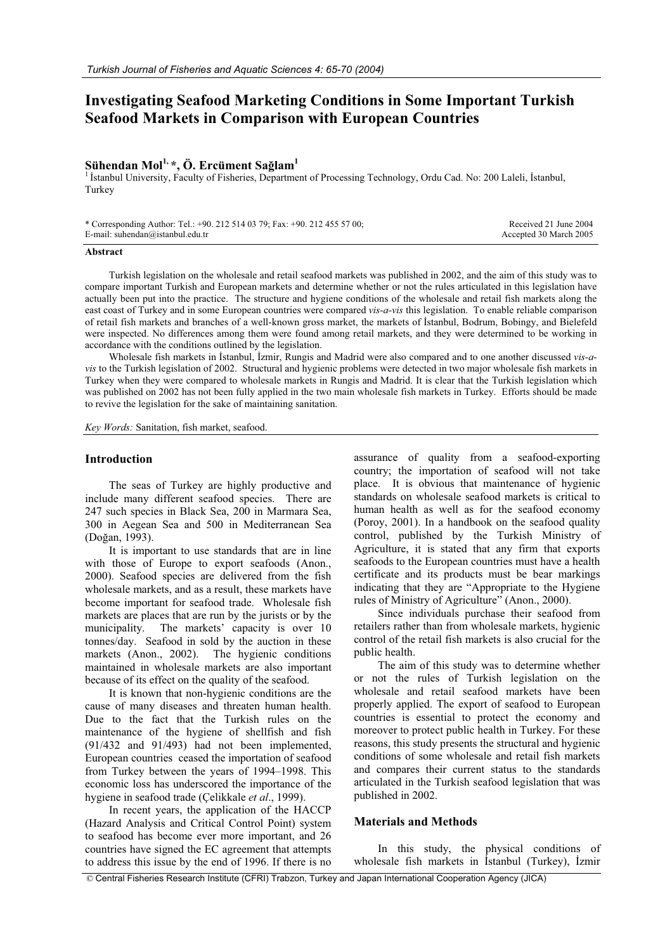# **Investigating Seafood Marketing Conditions in Some Important Turkish Seafood Markets in Comparison with European Countries**

## **Sühendan Mol1, \*, Ö. Ercüment Sa÷lam1**

<sup>1</sup> İstanbul University, Faculty of Fisheries, Department of Processing Technology, Ordu Cad. No: 200 Laleli, İstanbul, Turkey

| * Corresponding Author: Tel.: +90. 212 514 03 79; Fax: +90. 212 455 57 00; | Received 21 June 2004  |
|----------------------------------------------------------------------------|------------------------|
| E-mail: suhendan@istanbul.edu.tr                                           | Accepted 30 March 2005 |

#### **Abstract**

Turkish legislation on the wholesale and retail seafood markets was published in 2002, and the aim of this study was to compare important Turkish and European markets and determine whether or not the rules articulated in this legislation have actually been put into the practice. The structure and hygiene conditions of the wholesale and retail fish markets along the east coast of Turkey and in some European countries were compared *vis-a-vis* this legislation. To enable reliable comparison of retail fish markets and branches of a well-known gross market, the markets of Istanbul, Bodrum, Bobingy, and Bielefeld were inspected. No differences among them were found among retail markets, and they were determined to be working in accordance with the conditions outlined by the legislation.

Wholesale fish markets in Istanbul, Izmir, Rungis and Madrid were also compared and to one another discussed *vis-avis* to the Turkish legislation of 2002. Structural and hygienic problems were detected in two major wholesale fish markets in Turkey when they were compared to wholesale markets in Rungis and Madrid. It is clear that the Turkish legislation which was published on 2002 has not been fully applied in the two main wholesale fish markets in Turkey. Efforts should be made to revive the legislation for the sake of maintaining sanitation.

*Key Words:* Sanitation, fish market, seafood.

#### **Introduction**

The seas of Turkey are highly productive and include many different seafood species. There are 247 such species in Black Sea, 200 in Marmara Sea, 300 in Aegean Sea and 500 in Mediterranean Sea (Doğan, 1993).

It is important to use standards that are in line with those of Europe to export seafoods (Anon., 2000). Seafood species are delivered from the fish wholesale markets, and as a result, these markets have become important for seafood trade. Wholesale fish markets are places that are run by the jurists or by the municipality. The markets' capacity is over 10 The markets' capacity is over 10 tonnes/day. Seafood in sold by the auction in these markets (Anon., 2002). The hygienic conditions maintained in wholesale markets are also important because of its effect on the quality of the seafood.

It is known that non-hygienic conditions are the cause of many diseases and threaten human health. Due to the fact that the Turkish rules on the maintenance of the hygiene of shellfish and fish (91/432 and 91/493) had not been implemented, European countries ceased the importation of seafood from Turkey between the years of 1994–1998. This economic loss has underscored the importance of the hygiene in seafood trade (Çelikkale *et al*., 1999).

In recent years, the application of the HACCP (Hazard Analysis and Critical Control Point) system to seafood has become ever more important, and 26 countries have signed the EC agreement that attempts to address this issue by the end of 1996. If there is no

assurance of quality from a seafood-exporting country; the importation of seafood will not take place. It is obvious that maintenance of hygienic standards on wholesale seafood markets is critical to human health as well as for the seafood economy (Poroy, 2001). In a handbook on the seafood quality control, published by the Turkish Ministry of Agriculture, it is stated that any firm that exports seafoods to the European countries must have a health certificate and its products must be bear markings indicating that they are "Appropriate to the Hygiene rules of Ministry of Agriculture" (Anon., 2000).

Since individuals purchase their seafood from retailers rather than from wholesale markets, hygienic control of the retail fish markets is also crucial for the public health.

The aim of this study was to determine whether or not the rules of Turkish legislation on the wholesale and retail seafood markets have been properly applied. The export of seafood to European countries is essential to protect the economy and moreover to protect public health in Turkey. For these reasons, this study presents the structural and hygienic conditions of some wholesale and retail fish markets and compares their current status to the standards articulated in the Turkish seafood legislation that was published in 2002.

## **Materials and Methods**

In this study, the physical conditions of wholesale fish markets in Istanbul (Turkey), Izmir

© Central Fisheries Research Institute (CFRI) Trabzon, Turkey and Japan International Cooperation Agency (JICA)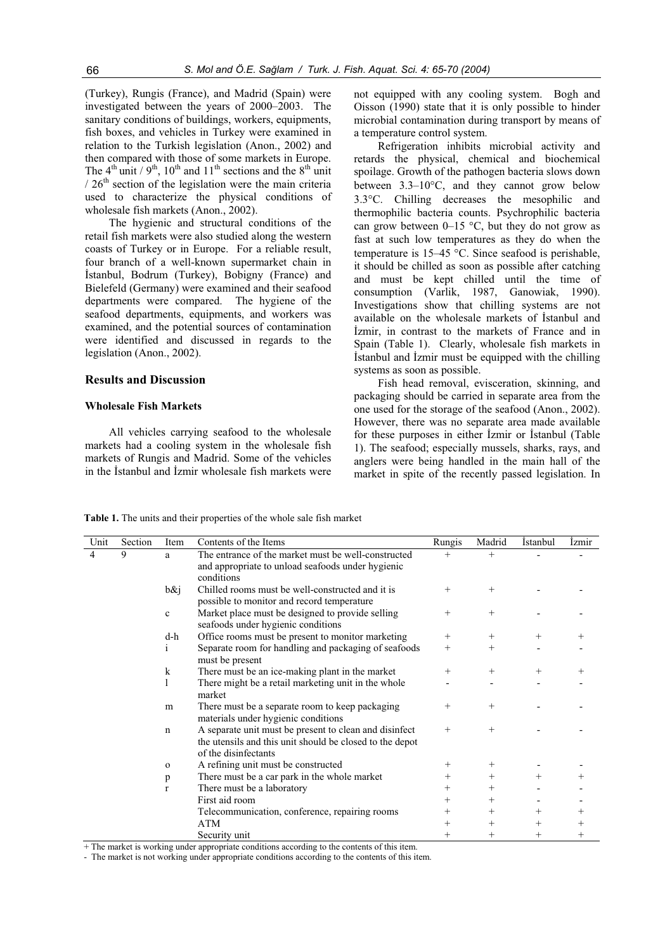(Turkey), Rungis (France), and Madrid (Spain) were investigated between the years of 2000–2003. The sanitary conditions of buildings, workers, equipments, fish boxes, and vehicles in Turkey were examined in relation to the Turkish legislation (Anon., 2002) and then compared with those of some markets in Europe. The  $4<sup>th</sup>$  unit / 9<sup>th</sup>, 10<sup>th</sup> and 11<sup>th</sup> sections and the 8<sup>th</sup> unit  $/ 26<sup>th</sup>$  section of the legislation were the main criteria used to characterize the physical conditions of wholesale fish markets (Anon., 2002).

The hygienic and structural conditions of the retail fish markets were also studied along the western coasts of Turkey or in Europe. For a reliable result, four branch of a well-known supermarket chain in İstanbul, Bodrum (Turkey), Bobigny (France) and Bielefeld (Germany) were examined and their seafood departments were compared. The hygiene of the seafood departments, equipments, and workers was examined, and the potential sources of contamination were identified and discussed in regards to the legislation (Anon., 2002).

#### **Results and Discussion**

## **Wholesale Fish Markets**

All vehicles carrying seafood to the wholesale markets had a cooling system in the wholesale fish markets of Rungis and Madrid. Some of the vehicles in the İstanbul and İzmir wholesale fish markets were

not equipped with any cooling system. Bogh and Oisson (1990) state that it is only possible to hinder microbial contamination during transport by means of a temperature control system.

Refrigeration inhibits microbial activity and retards the physical, chemical and biochemical spoilage. Growth of the pathogen bacteria slows down between  $3.3-10^{\circ}$ C, and they cannot grow below  $3.3^{\circ}$ C. Chilling decreases the mesophilic and thermophilic bacteria counts. Psychrophilic bacteria can grow between  $0-15$  °C, but they do not grow as fast at such low temperatures as they do when the temperature is  $15-45$  °C. Since seafood is perishable, it should be chilled as soon as possible after catching and must be kept chilled until the time of consumption (Varlik, 1987, Ganowiak, 1990). Investigations show that chilling systems are not available on the wholesale markets of İstanbul and İzmir, in contrast to the markets of France and in Spain (Table 1). Clearly, wholesale fish markets in Istanbul and Izmir must be equipped with the chilling systems as soon as possible.

Fish head removal, evisceration, skinning, and packaging should be carried in separate area from the one used for the storage of the seafood (Anon., 2002). However, there was no separate area made available for these purposes in either İzmir or İstanbul (Table 1). The seafood; especially mussels, sharks, rays, and anglers were being handled in the main hall of the market in spite of the recently passed legislation. In

**Table 1.** The units and their properties of the whole sale fish market

| Unit | Section | Item         | Contents of the Items                                                                                                                      | Rungis | Madrid | <i>Istanbul</i> | <i>Izmir</i>       |
|------|---------|--------------|--------------------------------------------------------------------------------------------------------------------------------------------|--------|--------|-----------------|--------------------|
| 4    | 9       | a            | The entrance of the market must be well-constructed<br>and appropriate to unload seafoods under hygienic<br>conditions                     | $^{+}$ |        |                 |                    |
|      |         | $b\&i$       | Chilled rooms must be well-constructed and it is<br>possible to monitor and record temperature                                             | $^+$   | $^+$   |                 |                    |
|      |         | $\mathbf c$  | Market place must be designed to provide selling<br>seafoods under hygienic conditions                                                     | $^+$   | $^{+}$ |                 |                    |
|      |         | d-h          | Office rooms must be present to monitor marketing                                                                                          | $\pm$  | $^{+}$ | $^{+}$          |                    |
|      |         | $\mathbf{1}$ | Separate room for handling and packaging of seafoods<br>must be present                                                                    | $^{+}$ | $^{+}$ |                 |                    |
|      |         | k            | There must be an ice-making plant in the market                                                                                            | $\pm$  | $^{+}$ | $^{+}$          |                    |
|      |         |              | There might be a retail marketing unit in the whole<br>market                                                                              |        |        |                 |                    |
|      |         | m            | There must be a separate room to keep packaging<br>materials under hygienic conditions                                                     | $^{+}$ | $^{+}$ |                 |                    |
|      |         | $\mathbf n$  | A separate unit must be present to clean and disinfect<br>the utensils and this unit should be closed to the depot<br>of the disinfectants | $^{+}$ | $^{+}$ |                 |                    |
|      |         | $\mathbf{o}$ | A refining unit must be constructed                                                                                                        |        | $^{+}$ |                 |                    |
|      |         | p            | There must be a car park in the whole market                                                                                               |        | $^{+}$ | $^{+}$          |                    |
|      |         | r            | There must be a laboratory                                                                                                                 |        | $^+$   |                 |                    |
|      |         |              | First aid room                                                                                                                             |        | $^{+}$ |                 |                    |
|      |         |              | Telecommunication, conference, repairing rooms                                                                                             |        | $^{+}$ | $^{+}$          |                    |
|      |         |              | ATM                                                                                                                                        |        | $^+$   | $^+$            |                    |
|      |         |              | Security unit                                                                                                                              |        | $^+$   | $^{+}$          | $\hspace{0.1mm} +$ |

+ The market is working under appropriate conditions according to the contents of this item.

- The market is not working under appropriate conditions according to the contents of this item.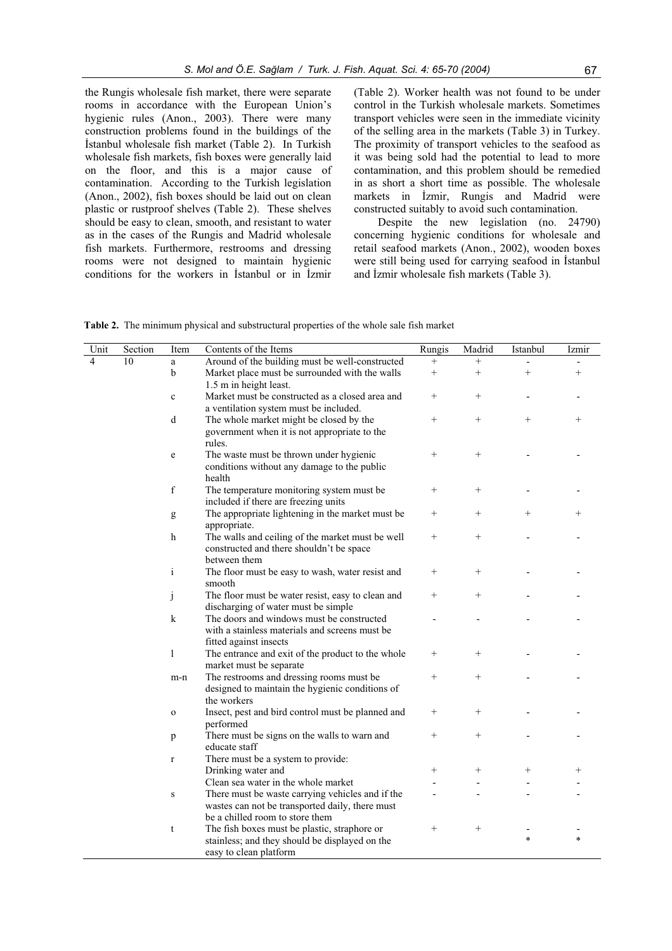the Rungis wholesale fish market, there were separate rooms in accordance with the European Union's hygienic rules (Anon., 2003). There were many construction problems found in the buildings of the İstanbul wholesale fish market (Table 2). In Turkish wholesale fish markets, fish boxes were generally laid on the floor, and this is a major cause of contamination. According to the Turkish legislation (Anon., 2002), fish boxes should be laid out on clean plastic or rustproof shelves (Table 2). These shelves should be easy to clean, smooth, and resistant to water as in the cases of the Rungis and Madrid wholesale fish markets. Furthermore, restrooms and dressing rooms were not designed to maintain hygienic conditions for the workers in Istanbul or in Izmir

(Table 2). Worker health was not found to be under control in the Turkish wholesale markets. Sometimes transport vehicles were seen in the immediate vicinity of the selling area in the markets (Table 3) in Turkey. The proximity of transport vehicles to the seafood as it was being sold had the potential to lead to more contamination, and this problem should be remedied in as short a short time as possible. The wholesale markets in *İzmir*, Rungis and Madrid were constructed suitably to avoid such contamination.

Despite the new legislation (no. 24790) concerning hygienic conditions for wholesale and retail seafood markets (Anon., 2002), wooden boxes were still being used for carrying seafood in İstanbul and İzmir wholesale fish markets (Table 3).

**Table 2.** The minimum physical and substructural properties of the whole sale fish market

| Unit           | Section | Item         | Contents of the Items                                                                                                 | Rungis          | Madrid | Istanbul | Izmir  |
|----------------|---------|--------------|-----------------------------------------------------------------------------------------------------------------------|-----------------|--------|----------|--------|
| $\overline{4}$ | 10      | $\mathbf{a}$ | Around of the building must be well-constructed                                                                       | $^{+}$          | $^{+}$ |          |        |
|                |         | b            | Market place must be surrounded with the walls<br>1.5 m in height least.                                              | $^{+}$          | $^{+}$ | $^{+}$   | $^{+}$ |
|                |         | $\mathbf c$  | Market must be constructed as a closed area and                                                                       | $^{+}$          | $^{+}$ |          |        |
|                |         |              | a ventilation system must be included.                                                                                |                 |        |          |        |
|                |         | d            | The whole market might be closed by the<br>government when it is not appropriate to the<br>rules.                     | $^{+}$          | $^{+}$ | $^{+}$   | $^{+}$ |
|                |         | e            | The waste must be thrown under hygienic<br>conditions without any damage to the public<br>health                      | $^{+}$          | $^{+}$ |          |        |
|                |         | $\mathbf f$  | The temperature monitoring system must be<br>included if there are freezing units                                     | $^{+}$          | $^{+}$ |          |        |
|                |         | g            | The appropriate lightening in the market must be<br>appropriate.                                                      | $^{+}$          | $+$    | $^{+}$   | $^{+}$ |
|                |         | h            | The walls and ceiling of the market must be well<br>constructed and there shouldn't be space<br>between them          | $\! + \!\!\!\!$ | $^{+}$ |          |        |
|                |         | $\mathbf{i}$ | The floor must be easy to wash, water resist and<br>smooth                                                            | $^{+}$          | $^{+}$ |          |        |
|                |         | j            | The floor must be water resist, easy to clean and<br>discharging of water must be simple                              | $^{+}$          | $^{+}$ |          |        |
|                |         | k            | The doors and windows must be constructed<br>with a stainless materials and screens must be<br>fitted against insects |                 |        |          |        |
|                |         | 1            | The entrance and exit of the product to the whole<br>market must be separate                                          | $^{+}$          | $^{+}$ |          |        |
|                |         | m-n          | The restrooms and dressing rooms must be<br>designed to maintain the hygienic conditions of<br>the workers            | $\! + \!\!\!\!$ | $^{+}$ |          |        |
|                |         | $\mathbf{o}$ | Insect, pest and bird control must be planned and<br>performed                                                        | $^+$            | $^{+}$ |          |        |
|                |         | p            | There must be signs on the walls to warn and<br>educate staff                                                         | $^{+}$          | $^{+}$ |          |        |
|                |         | $\mathbf r$  | There must be a system to provide:                                                                                    |                 |        |          |        |
|                |         |              | Drinking water and                                                                                                    | $^{+}$          | $^{+}$ | $^{+}$   | $^+$   |
|                |         |              | Clean sea water in the whole market                                                                                   |                 |        |          |        |
|                |         | ${\bf S}$    | There must be waste carrying vehicles and if the                                                                      |                 |        |          |        |
|                |         |              | wastes can not be transported daily, there must<br>be a chilled room to store them                                    |                 |        |          |        |
|                |         | t            | The fish boxes must be plastic, straphore or<br>stainless; and they should be displayed on the                        | $\! + \!\!\!\!$ | $^{+}$ | $\ast$   | $\ast$ |
|                |         |              | easy to clean platform                                                                                                |                 |        |          |        |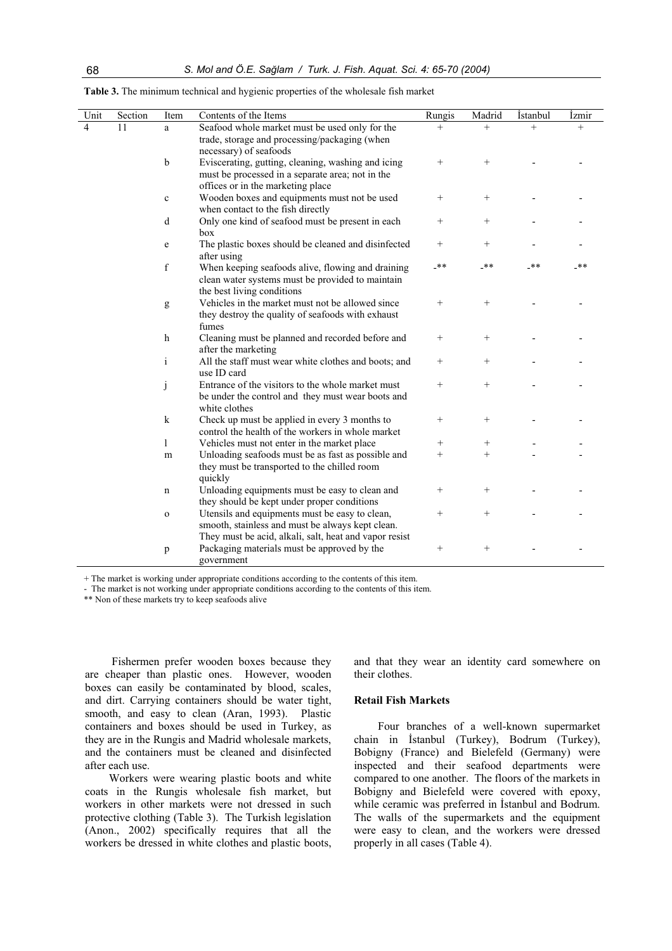| Unit                    | Section | Item         | Contents of the Items                                  | Rungis          | Madrid           | <i>istanbul</i> | İzmir |
|-------------------------|---------|--------------|--------------------------------------------------------|-----------------|------------------|-----------------|-------|
| $\overline{\mathbf{4}}$ | 11      | a            | Seafood whole market must be used only for the         | $^{+}$          | $^{+}$           | $^{+}$          | $+$   |
|                         |         |              | trade, storage and processing/packaging (when          |                 |                  |                 |       |
|                         |         |              | necessary) of seafoods                                 |                 |                  |                 |       |
|                         |         | $\mathbf b$  | Eviscerating, gutting, cleaning, washing and icing     |                 | $\boldsymbol{+}$ |                 |       |
|                         |         |              | must be processed in a separate area; not in the       |                 |                  |                 |       |
|                         |         |              | offices or in the marketing place                      |                 |                  |                 |       |
|                         |         | $\mathbf c$  | Wooden boxes and equipments must not be used           | $^{+}$          |                  |                 |       |
|                         |         |              | when contact to the fish directly                      |                 |                  |                 |       |
|                         |         | d            | Only one kind of seafood must be present in each       | $\! + \!\!\!\!$ |                  |                 |       |
|                         |         |              | box                                                    |                 |                  |                 |       |
|                         |         | e            | The plastic boxes should be cleaned and disinfected    | $^{+}$          | $^{+}$           |                 |       |
|                         |         |              | after using                                            |                 |                  |                 |       |
|                         |         | $\mathbf f$  | When keeping seafoods alive, flowing and draining      | $-**$           | _**              | -**             | _**   |
|                         |         |              | clean water systems must be provided to maintain       |                 |                  |                 |       |
|                         |         |              | the best living conditions                             |                 |                  |                 |       |
|                         |         | g            | Vehicles in the market must not be allowed since       | $^{+}$          | $^{+}$           |                 |       |
|                         |         |              | they destroy the quality of seafoods with exhaust      |                 |                  |                 |       |
|                         |         |              | fumes                                                  |                 |                  |                 |       |
|                         |         | $\mathbf h$  | Cleaning must be planned and recorded before and       | $^{+}$          | $^{+}$           |                 |       |
|                         |         |              | after the marketing                                    |                 |                  |                 |       |
|                         |         | $\mathbf{i}$ | All the staff must wear white clothes and boots; and   | $^{+}$          | $^{+}$           |                 |       |
|                         |         |              | use ID card                                            |                 |                  |                 |       |
|                         |         | j            | Entrance of the visitors to the whole market must      | $^{+}$          | $^{+}$           |                 |       |
|                         |         |              | be under the control and they must wear boots and      |                 |                  |                 |       |
|                         |         |              | white clothes                                          |                 |                  |                 |       |
|                         |         | $\mathbf k$  | Check up must be applied in every 3 months to          | $^{+}$          |                  |                 |       |
|                         |         |              | control the health of the workers in whole market      |                 |                  |                 |       |
|                         |         | $\mathbf{1}$ | Vehicles must not enter in the market place            | $^{+}$          | $^{+}$           |                 |       |
|                         |         | m            | Unloading seafoods must be as fast as possible and     | $^{+}$          | $^{+}$           |                 |       |
|                         |         |              | they must be transported to the chilled room           |                 |                  |                 |       |
|                         |         |              | quickly                                                |                 |                  |                 |       |
|                         |         | $\mathbf n$  | Unloading equipments must be easy to clean and         | $^{+}$          | $^{+}$           |                 |       |
|                         |         |              | they should be kept under proper conditions            |                 |                  |                 |       |
|                         |         | $\mathbf O$  | Utensils and equipments must be easy to clean,         | $\! + \!\!\!\!$ | $^{+}$           |                 |       |
|                         |         |              | smooth, stainless and must be always kept clean.       |                 |                  |                 |       |
|                         |         |              | They must be acid, alkali, salt, heat and vapor resist |                 |                  |                 |       |
|                         |         | p            | Packaging materials must be approved by the            | $^{+}$          | $^{+}$           |                 |       |
|                         |         |              | government                                             |                 |                  |                 |       |

**Table 3.** The minimum technical and hygienic properties of the wholesale fish market

+ The market is working under appropriate conditions according to the contents of this item.

- The market is not working under appropriate conditions according to the contents of this item.

\*\* Non of these markets try to keep seafoods alive

 Fishermen prefer wooden boxes because they are cheaper than plastic ones. However, wooden boxes can easily be contaminated by blood, scales, and dirt. Carrying containers should be water tight, smooth, and easy to clean (Aran, 1993). Plastic containers and boxes should be used in Turkey, as they are in the Rungis and Madrid wholesale markets, and the containers must be cleaned and disinfected after each use.

Workers were wearing plastic boots and white coats in the Rungis wholesale fish market, but workers in other markets were not dressed in such protective clothing (Table 3). The Turkish legislation (Anon., 2002) specifically requires that all the workers be dressed in white clothes and plastic boots,

and that they wear an identity card somewhere on their clothes.

### **Retail Fish Markets**

Four branches of a well-known supermarket chain in İstanbul (Turkey), Bodrum (Turkey), Bobigny (France) and Bielefeld (Germany) were inspected and their seafood departments were compared to one another. The floors of the markets in Bobigny and Bielefeld were covered with epoxy, while ceramic was preferred in Istanbul and Bodrum. The walls of the supermarkets and the equipment were easy to clean, and the workers were dressed properly in all cases (Table 4).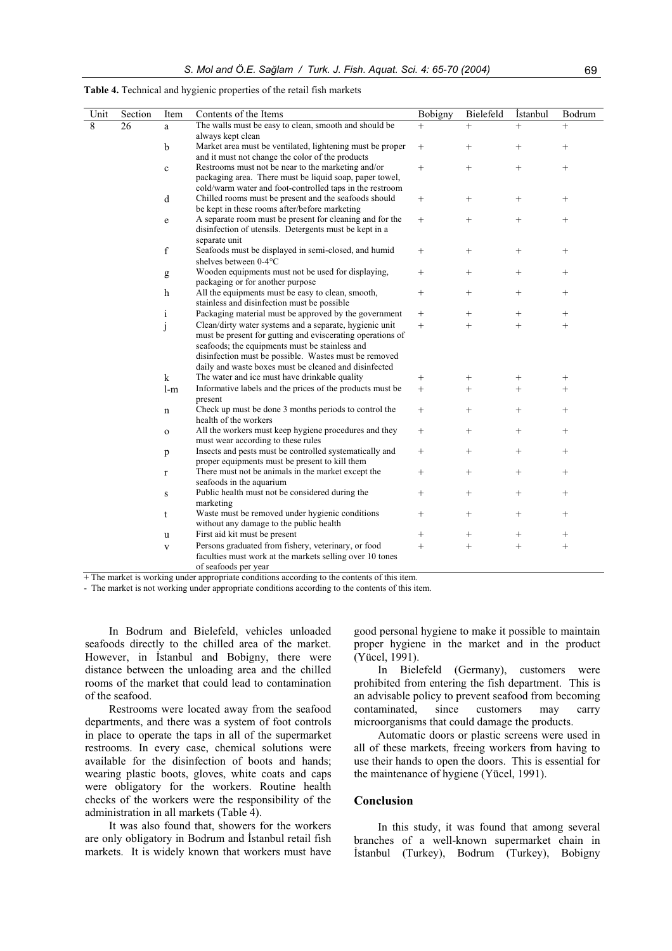| Unit           | Section | Item         | Contents of the Items                                                                                                                                                                                                                                                                     | Bobigny | Bielefeld       | <i>istanbul</i> | Bodrum          |
|----------------|---------|--------------|-------------------------------------------------------------------------------------------------------------------------------------------------------------------------------------------------------------------------------------------------------------------------------------------|---------|-----------------|-----------------|-----------------|
| $\overline{8}$ | 26      | a            | The walls must be easy to clean, smooth and should be<br>always kept clean                                                                                                                                                                                                                | $^{+}$  | $+$             | $^{+}$          | $^{+}$          |
|                |         | $\mathbf b$  | Market area must be ventilated, lightening must be proper<br>and it must not change the color of the products                                                                                                                                                                             | $^{+}$  | $^{+}$          | $^{+}$          | $\! +$          |
|                |         | $\mathbf c$  | Restrooms must not be near to the marketing and/or<br>packaging area. There must be liquid soap, paper towel,<br>cold/warm water and foot-controlled taps in the restroom                                                                                                                 | $^{+}$  | $^{+}$          | $^{+}$          | $^{+}$          |
|                |         | d            | Chilled rooms must be present and the seafoods should<br>be kept in these rooms after/before marketing                                                                                                                                                                                    | $^{+}$  | $^{+}$          | $^{+}$          | $^{+}$          |
|                |         | e            | A separate room must be present for cleaning and for the<br>disinfection of utensils. Detergents must be kept in a<br>separate unit                                                                                                                                                       | $^{+}$  | $^{+}$          |                 | $\! +$          |
|                |         | $\mathbf f$  | Seafoods must be displayed in semi-closed, and humid<br>shelves between 0-4°C                                                                                                                                                                                                             | $^{+}$  |                 | $\! + \!\!\!\!$ | $\! + \!\!\!\!$ |
|                |         | g            | Wooden equipments must not be used for displaying,<br>packaging or for another purpose                                                                                                                                                                                                    | $^{+}$  | $^{+}$          |                 | $^{+}$          |
|                |         | $\mathbf h$  | All the equipments must be easy to clean, smooth,<br>stainless and disinfection must be possible                                                                                                                                                                                          | $^{+}$  | $^{+}$          | $^{+}$          | $^{+}$          |
|                |         | $\mathbf{i}$ | Packaging material must be approved by the government                                                                                                                                                                                                                                     | $^{+}$  | $^{+}$          | $^{+}$          | $^{+}$          |
|                |         | j            | Clean/dirty water systems and a separate, hygienic unit<br>must be present for gutting and eviscerating operations of<br>seafoods; the equipments must be stainless and<br>disinfection must be possible. Wastes must be removed<br>daily and waste boxes must be cleaned and disinfected | $^{+}$  | $^{+}$          | $^{+}$          | $+$             |
|                |         | $\bf k$      | The water and ice must have drinkable quality                                                                                                                                                                                                                                             | $^{+}$  | $^{+}$          | $^{+}$          | $^{+}$          |
|                |         | $1-m$        | Informative labels and the prices of the products must be<br>present                                                                                                                                                                                                                      | $^{+}$  | $+$             | $^{+}$          | $^{+}$          |
|                |         | n            | Check up must be done 3 months periods to control the<br>health of the workers                                                                                                                                                                                                            | $^{+}$  | $^{+}$          | $^{+}$          | $\! +$          |
|                |         | $\mathbf{o}$ | All the workers must keep hygiene procedures and they<br>must wear according to these rules                                                                                                                                                                                               | $^{+}$  | $^{+}$          | $^{+}$          | $^{+}$          |
|                |         | p            | Insects and pests must be controlled systematically and<br>proper equipments must be present to kill them                                                                                                                                                                                 | $^{+}$  | $^{+}$          |                 | $\! +$          |
|                |         | $\mathbf r$  | There must not be animals in the market except the<br>seafoods in the aquarium                                                                                                                                                                                                            | $^{+}$  | $^{+}$          | $^{+}$          | $\! +$          |
|                |         | S            | Public health must not be considered during the<br>marketing                                                                                                                                                                                                                              | $^{+}$  | $^{+}$          | $^{+}$          | $^{+}$          |
|                |         | t            | Waste must be removed under hygienic conditions<br>without any damage to the public health                                                                                                                                                                                                | $^{+}$  | $^{+}$          |                 | $\! +$          |
|                |         | u            | First aid kit must be present                                                                                                                                                                                                                                                             | $^{+}$  | $\! + \!\!\!\!$ | $^{+}$          | $^{+}$          |
|                |         | $\mathbf{V}$ | Persons graduated from fishery, veterinary, or food<br>faculties must work at the markets selling over 10 tones<br>of seafoods per year                                                                                                                                                   | $^{+}$  | $^{+}$          | $^{+}$          | $+$             |

**Table 4.** Technical and hygienic properties of the retail fish markets

+ The market is working under appropriate conditions according to the contents of this item.

- The market is not working under appropriate conditions according to the contents of this item.

In Bodrum and Bielefeld, vehicles unloaded seafoods directly to the chilled area of the market. However, in Istanbul and Bobigny, there were distance between the unloading area and the chilled rooms of the market that could lead to contamination of the seafood.

Restrooms were located away from the seafood departments, and there was a system of foot controls in place to operate the taps in all of the supermarket restrooms. In every case, chemical solutions were available for the disinfection of boots and hands; wearing plastic boots, gloves, white coats and caps were obligatory for the workers. Routine health checks of the workers were the responsibility of the administration in all markets (Table 4).

It was also found that, showers for the workers are only obligatory in Bodrum and İstanbul retail fish markets. It is widely known that workers must have

good personal hygiene to make it possible to maintain proper hygiene in the market and in the product (Yücel, 1991).

In Bielefeld (Germany), customers were prohibited from entering the fish department. This is an advisable policy to prevent seafood from becoming contaminated, since customers may carry microorganisms that could damage the products.

Automatic doors or plastic screens were used in all of these markets, freeing workers from having to use their hands to open the doors. This is essential for the maintenance of hygiene (Yücel, 1991).

#### **Conclusion**

In this study, it was found that among several branches of a well-known supermarket chain in İstanbul (Turkey), Bodrum (Turkey), Bobigny